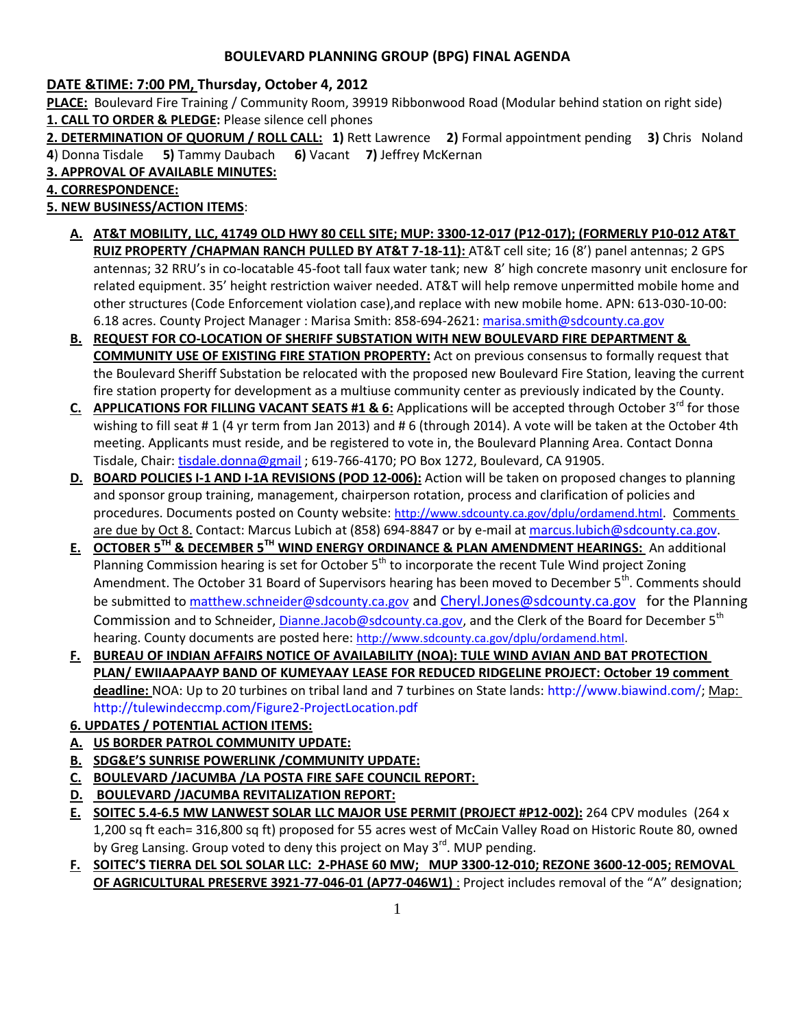## **BOULEVARD PLANNING GROUP (BPG) FINAL AGENDA**

## **DATE &TIME: 7:00 PM, Thursday, October 4, 2012**

**PLACE:** Boulevard Fire Training / Community Room, 39919 Ribbonwood Road (Modular behind station on right side) **1. CALL TO ORDER & PLEDGE:** Please silence cell phones

**2. DETERMINATION OF QUORUM / ROLL CALL: 1)** Rett Lawrence **2)** Formal appointment pending **3)** Chris Noland **4**) Donna Tisdale **5)** Tammy Daubach **6)** Vacant **7)** Jeffrey McKernan

**3. APPROVAL OF AVAILABLE MINUTES:** 

**4. CORRESPONDENCE:** 

**5. NEW BUSINESS/ACTION ITEMS**:

- **A. AT&T MOBILITY, LLC, 41749 OLD HWY 80 CELL SITE; MUP: 3300-12-017 (P12-017); (FORMERLY P10-012 AT&T RUIZ PROPERTY /CHAPMAN RANCH PULLED BY AT&T 7-18-11):** AT&T cell site; 16 (8') panel antennas; 2 GPS antennas; 32 RRU's in co-locatable 45-foot tall faux water tank; new 8' high concrete masonry unit enclosure for related equipment. 35' height restriction waiver needed. AT&T will help remove unpermitted mobile home and other structures (Code Enforcement violation case),and replace with new mobile home. APN: 613-030-10-00: 6.18 acres. County Project Manager : Marisa Smith: 858-694-2621: [marisa.smith@sdcounty.ca.gov](mailto:marisa.smith@sdcounty.ca.gov)
- **B. REQUEST FOR CO-LOCATION OF SHERIFF SUBSTATION WITH NEW BOULEVARD FIRE DEPARTMENT & COMMUNITY USE OF EXISTING FIRE STATION PROPERTY:** Act on previous consensus to formally request that the Boulevard Sheriff Substation be relocated with the proposed new Boulevard Fire Station, leaving the current fire station property for development as a multiuse community center as previously indicated by the County.
- **C.** APPLICATIONS FOR FILLING VACANT SEATS #1 & 6: Applications will be accepted through October 3<sup>rd</sup> for those wishing to fill seat # 1 (4 yr term from Jan 2013) and # 6 (through 2014). A vote will be taken at the October 4th meeting. Applicants must reside, and be registered to vote in, the Boulevard Planning Area. Contact Donna Tisdale, Chair: [tisdale.donna@gmail](mailto:tisdale.donna@gmail) ; 619-766-4170; PO Box 1272, Boulevard, CA 91905.
- **D. BOARD POLICIES I-1 AND I-1A REVISIONS (POD 12-006):** Action will be taken on proposed changes to planning and sponsor group training, management, chairperson rotation, process and clarification of policies and procedures. Documents posted on County website: <http://www.sdcounty.ca.gov/dplu/ordamend.html>. Comments are due by Oct 8. Contact: Marcus Lubich at (858) 694-8847 or by e-mail a[t marcus.lubich@sdcounty.ca.gov.](mailto:marcus.lubich@sdcounty.ca.gov)
- **E. OCTOBER 5TH & DECEMBER 5TH WIND ENERGY ORDINANCE & PLAN AMENDMENT HEARINGS:** An additional Planning Commission hearing is set for October 5<sup>th</sup> to incorporate the recent Tule Wind project Zoning Amendment. The October 31 Board of Supervisors hearing has been moved to December 5<sup>th</sup>. Comments should be submitted to [matthew.schneider@sdcounty.ca.gov](mailto:matthew.schneider@sdcounty.ca.gov) and [Cheryl.Jones@sdcounty.ca.gov](mailto:Cheryl.Jones@sdcounty.ca.gov) for the Planning Commission and to Schneider, [Dianne.Jacob@sdcounty.ca.gov,](mailto:Dianne.Jacob@sdcounty.ca.gov) and the Clerk of the Board for December 5<sup>th</sup> hearing. County documents are posted here: [http://www.sdcounty.ca.gov/dplu/ordamend.html.](http://www.sdcounty.ca.gov/dplu/ordamend.html)
- **F. BUREAU OF INDIAN AFFAIRS NOTICE OF AVAILABILITY (NOA): TULE WIND AVIAN AND BAT PROTECTION PLAN/ EWIIAAPAAYP BAND OF KUMEYAAY LEASE FOR REDUCED RIDGELINE PROJECT: October 19 comment deadline:** NOA: Up to 20 turbines on tribal land and 7 turbines on State lands[: http://www.biawind.com/;](http://www.biawind.com/) Map: <http://tulewindeccmp.com/Figure2-ProjectLocation.pdf>
- **6. UPDATES / POTENTIAL ACTION ITEMS:**
- **A. US BORDER PATROL COMMUNITY UPDATE:**
- **B. SDG&E'S SUNRISE POWERLINK /COMMUNITY UPDATE:**
- **C. BOULEVARD /JACUMBA /LA POSTA FIRE SAFE COUNCIL REPORT:**
- **D. BOULEVARD /JACUMBA REVITALIZATION REPORT:**
- **E. SOITEC 5.4-6.5 MW LANWEST SOLAR LLC MAJOR USE PERMIT (PROJECT #P12-002):** 264 CPV modules (264 x 1,200 sq ft each= 316,800 sq ft) proposed for 55 acres west of McCain Valley Road on Historic Route 80, owned by Greg Lansing. Group voted to deny this project on May 3<sup>rd</sup>. MUP pending.
- **F. SOITEC'S TIERRA DEL SOL SOLAR LLC: 2-PHASE 60 MW; MUP 3300-12-010; REZONE 3600-12-005; REMOVAL OF AGRICULTURAL PRESERVE 3921-77-046-01 (AP77-046W1)** : Project includes removal of the "A" designation;